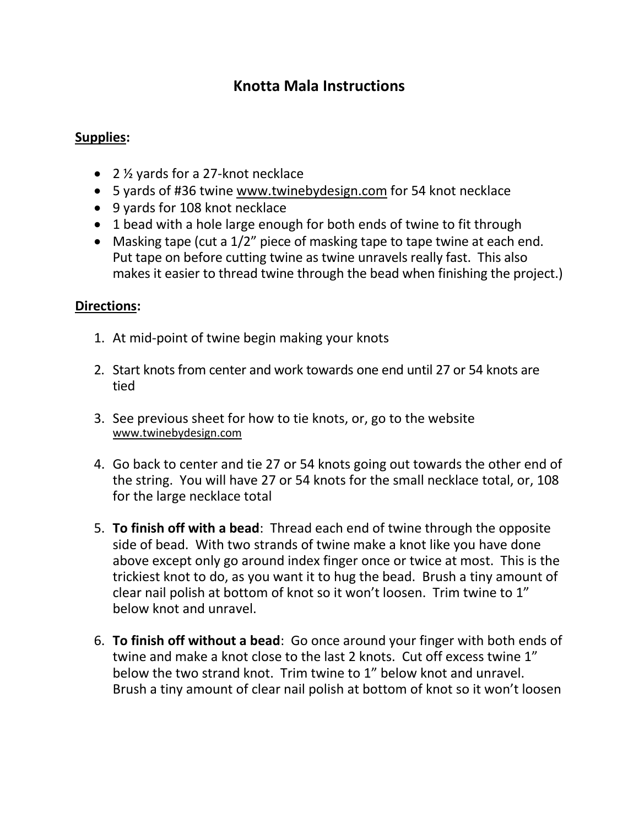## **Knotta Mala Instructions**

## **Supplies:**

- 2 1/2 yards for a 27-knot necklace
- 5 yards of #36 twine [www.twinebydesign.com](http://www.twinebydesign.com/) for 54 knot necklace
- 9 yards for 108 knot necklace
- 1 bead with a hole large enough for both ends of twine to fit through
- Masking tape (cut a 1/2" piece of masking tape to tape twine at each end. Put tape on before cutting twine as twine unravels really fast. This also makes it easier to thread twine through the bead when finishing the project.)

## **Directions:**

- 1. At mid-point of twine begin making your knots
- 2. Start knots from center and work towards one end until 27 or 54 knots are tied
- 3. See previous sheet for how to tie knots, or, go to the website [www.twinebydesign.com](http://www.twinebydesign.com/)
- 4. Go back to center and tie 27 or 54 knots going out towards the other end of the string. You will have 27 or 54 knots for the small necklace total, or, 108 for the large necklace total
- 5. **To finish off with a bead**: Thread each end of twine through the opposite side of bead. With two strands of twine make a knot like you have done above except only go around index finger once or twice at most. This is the trickiest knot to do, as you want it to hug the bead. Brush a tiny amount of clear nail polish at bottom of knot so it won't loosen. Trim twine to 1" below knot and unravel.
- 6. **To finish off without a bead**: Go once around your finger with both ends of twine and make a knot close to the last 2 knots. Cut off excess twine 1" below the two strand knot. Trim twine to 1" below knot and unravel. Brush a tiny amount of clear nail polish at bottom of knot so it won't loosen